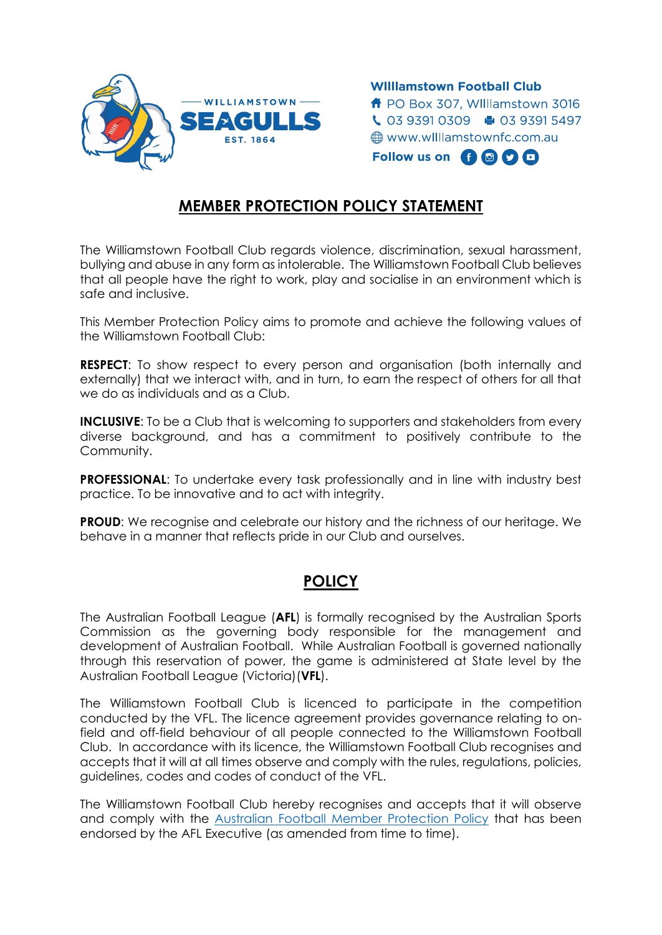

**Williamstown Football Club f** PO Box 307. Williamstown 3016  $\begin{array}{ccc} \bullet & 0393910309 & \bullet & 0393915497 \end{array}$ **<sup>●</sup> www.williamstownfc.com.au** Follow us on  $\bigoplus$   $\bigoplus$   $\bigoplus$   $\bigoplus$ 

## **MEMBER PROTECTION POLICY STATEMENT**

The Williamstown Football Club regards violence, discrimination, sexual harassment, bullying and abuse in any form as intolerable. The Williamstown Football Club believes that all people have the right to work, play and socialise in an environment which is safe and inclusive.

This Member Protection Policy aims to promote and achieve the following values of the Williamstown Football Club:

**RESPECT:** To show respect to every person and organisation (both internally and externally) that we interact with, and in turn, to earn the respect of others for all that we do as individuals and as a Club.

**INCLUSIVE:** To be a Club that is welcoming to supporters and stakeholders from every diverse background, and has a commitment to positively contribute to the Community.

**PROFESSIONAL:** To undertake every task professionally and in line with industry best practice. To be innovative and to act with integrity.

**PROUD:** We recognise and celebrate our history and the richness of our heritage. We behave in a manner that reflects pride in our Club and ourselves.

## **POLICY**

The Australian Football League (**AFL**) is formally recognised by the Australian Sports Commission as the governing body responsible for the management and development of Australian Football. While Australian Football is governed nationally through this reservation of power, the game is administered at State level by the Australian Football League (Victoria)(**VFL**).

The Williamstown Football Club is licenced to participate in the competition conducted by the VFL. The licence agreement provides governance relating to onfield and off-field behaviour of all people connected to the Williamstown Football Club. In accordance with its licence, the Williamstown Football Club recognises and accepts that it will at all times observe and comply with the rules, regulations, policies, guidelines, codes and codes of conduct of the VFL.

The Williamstown Football Club hereby recognises and accepts that it will observe and comply with the [Australian Football Member Protection Policy](https://s.afl.com.au/staticfile/AFL%20Tenant/AFL/Files/National%20Member%20Protection%20Policy.pdf) that has been endorsed by the AFL Executive (as amended from time to time).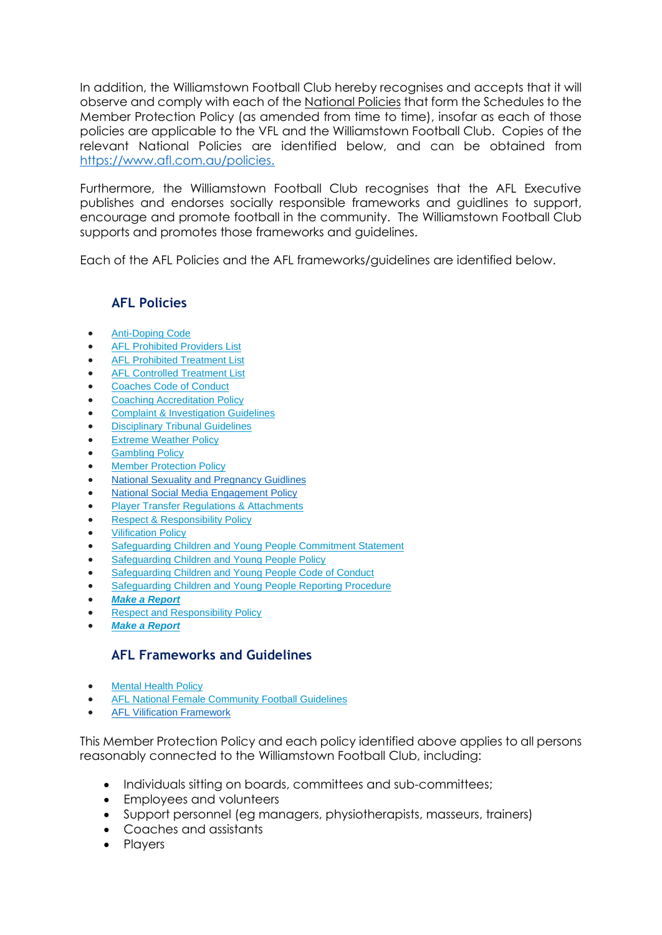In addition, the Williamstown Football Club hereby recognises and accepts that it will observe and comply with each of the National Policies that form the Schedules to the Member Protection Policy (as amended from time to time), insofar as each of those policies are applicable to the VFL and the Williamstown Football Club. Copies of the relevant National Policies are identified below, and can be obtained from [https://www.afl.com.au/policies.](https://www.afl.com.au/policies)

Furthermore, the Williamstown Football Club recognises that the AFL Executive publishes and endorses socially responsible frameworks and guidlines to support, encourage and promote football in the community. The Williamstown Football Club supports and promotes those frameworks and guidelines.

Each of the AFL Policies and the AFL frameworks/guidelines are identified below.

## **AFL Policies**

- [Anti-Doping Code](https://s.afl.com.au/staticfile/AFL%20Tenant/AFL/Files/AFL%20Anti-Doping%20Code%202015-FINAL.pdf)
- [AFL Prohibited Providers List](https://s.afl.com.au/staticfile/AFL%20Tenant/AFL/Files/AFL%20Prohibited%20Providers%20List%20-%207%20March%202014.pdf)
- [AFL Prohibited Treatment List](https://s.afl.com.au/staticfile/AFL%20Tenant/AFL/Files/AFL%20Prohibited%20Treatment%20List%20(Effective%2015%20March%202015).pdf)
- [AFL Controlled Treatment List](https://s.afl.com.au/staticfile/AFL%20Tenant/AFL/Files/AFL%20Controlled%20Treatment%20Lists%20(Effective%2015%20March%202015).pdf)
- [Coaches Code of Conduct](https://s.afl.com.au/staticfile/AFL%20Tenant/AFL/Files/Images/coaches_code_of_conduct_brochure.pdf)
- [Coaching Accreditation Policy](https://s.afl.com.au/staticfile/AFL%20Tenant/AFL/Files/National-Coaching-Accreditation-Policy-November-2018.pdf)
- [Complaint & Investigation Guidelines](https://s.afl.com.au/staticfile/AFL%20Tenant/AFL/Files/Schedule%2010%20-%20National%20Complaint%20&%20Investigation%20Guidelines.pdf)
- [Disciplinary Tribunal Guidelines](https://s.afl.com.au/staticfile/AFL%20Tenant/AFL/Files/Schedule%2012%20-%20National%20Disciplinary%20Tribunal%20Guidelines.pdf)
- [Extreme Weather Policy](https://s.afl.com.au/staticfile/AFL%20Tenant/AFL/Files/Schedule%207%20-%20National%20Extreme%20Weather%20Policy.pdf)
- **[Gambling Policy](https://s.afl.com.au/staticfile/AFL%20Tenant/AFL/Files/Schedule%208%20-%20National%20Gambling%20Policy.pdf)**
- [Member Protection Policy](https://s.afl.com.au/staticfile/AFL%20Tenant/AFL/Files/National%20Member%20Protection%20Policy.pdf)
- [National Sexuality and Pregnancy Guidlines](https://www.aflnt.com.au/sites/default/files/Policies%20%26%20Guidelines%202018-19/National%20Sexuality%20%26%20Pregnancy%20Guidelines.pdf)
- [National Social Media Engagement Policy](https://s.afl.com.au/staticfile/AFL%20Tenant/AFL/Files/Schedule%202%20-%20National%20Social%20Media%20Engagement%20Policy.pdf)
- [Player Transfer Regulations & Attachments](https://s.afl.com.au/staticfile/AFL%20Tenant/AFL/Files/National%20Player%20Transfer%20Regulations%20(2017).pdf)
- [Respect & Responsibility Policy](https://s.afl.com.au/staticfile/AFL%20Tenant/AFL/Files/AFL-Respect-and-Responsibility-Policy.pdf)
- **[Vilification Policy](https://s.afl.com.au/staticfile/AFL%20Tenant/AFL/Files/Respect%20and%20Responsibility/Schedule-4-National-Vilification-Discrimination-Policy.pdf)**
- **[Safeguarding Children and Young People Commitment Statement](https://s.afl.com.au/staticfile/AFL%20Tenant/AFL/Files/Safeguarding-Children-Commitment-Statement.pdf)**
- [Safeguarding Children and Young People Policy](https://s.afl.com.au/staticfile/AFL%20Tenant/AFL/Files/Safeguarding-Children-Policy.pdf)
- [Safeguarding Children and Young People Code of Conduct](https://s.afl.com.au/staticfile/AFL%20Tenant/AFL/Files/Safeguarding-Children-Code-of-Conduct.pdf)
- [Safeguarding Children and Young People Reporting Procedure](https://s.afl.com.au/staticfile/AFL%20Tenant/AFL/Files/Safeguarding-Children-Reporting-Procedure.pdf)
- *[Make a Report](https://eafl.austfoot.com.au/afl-makeareport/)*
- [Respect and Responsibility Policy](https://s.afl.com.au/staticfile/AFL%20Tenant/AFL/Files/Respect%20and%20Responsibility/AFL-Respect-and-Responsibility-Policy.pdf)
- *[Make a Report](https://eafl.austfoot.com.au/afl-makeareport/)*

## **AFL Frameworks and Guidelines**

- **[Mental Health Policy](https://s.afl.com.au/staticfile/AFL%20Tenant/AFL/Files/Respect%20and%20Responsibility/AFL_MentalHealthPolicy.pdf)**
- [AFL National Female Community Football Guidelines](https://s.afl.com.au/staticfile/AFL%20Tenant/AFL/Files/AM-6436-AFL-Female-Football%20Guidelines_FA_web.pdf)
- **[AFL Vilification Framework](https://s.afl.com.au/staticfile/AFL%20Tenant/AFL/Files/Respect%20and%20Responsibility/AFL_Vilification_Policy.pdf)**

This Member Protection Policy and each policy identified above applies to all persons reasonably connected to the Williamstown Football Club, including:

- Individuals sitting on boards, committees and sub-committees;
- Employees and volunteers
- Support personnel (eg managers, physiotherapists, masseurs, trainers)
- Coaches and assistants
- Players